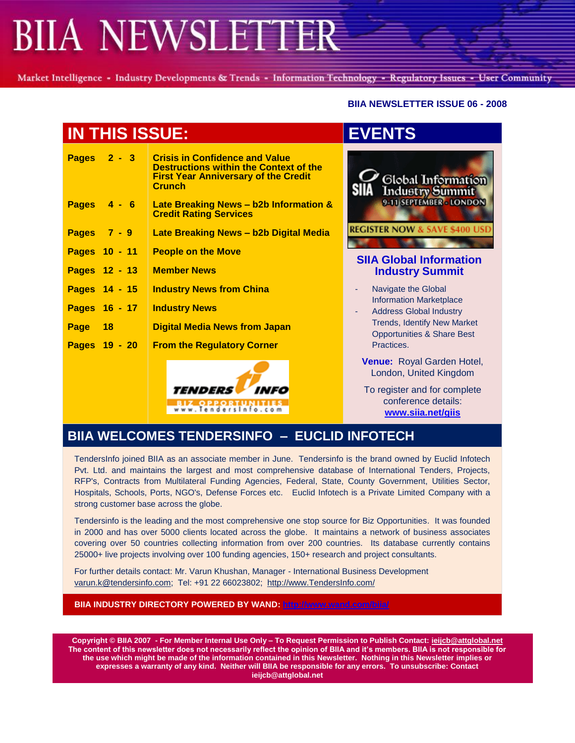Market Intelligence - Industry Developments & Trends - Information Technology - Regulatory Issues - User Community

#### **BIIA NEWSLETTER ISSUE 06 - 2008**

#### **IN THIS ISSUE: EVENTS Pages 2 - 3 Pages 4 - 6 Pages 7 - 9 Pages 10 - 11 Pages 12 - 13 Pages 14 - 15 Pages 16 - 17 Page 18 Pages 19 - 20 Crisis in Confidence and Value Destructions within the Context of the First Year Anniversary of the Credit Crunch Late Breaking News – b2b Information & Credit Rating Services Late Breaking News – b2b Digital Media People on the Move Member News Industry News from China Industry News Digital Media News from Japan From the Regulatory Corner**





**[www.siia.net/giis](http://www.siia.net/giis)**

## **BIIA WELCOMES TENDERSINFO – EUCLID INFOTECH**

TendersInfo joined BIIA as an associate member in June. Tendersinfo is the brand owned by Euclid Infotech Pvt. Ltd. and maintains the largest and most comprehensive database of International Tenders, Projects, RFP's, Contracts from Multilateral Funding Agencies, Federal, State, County Government, Utilities Sector, Hospitals, Schools, Ports, NGO's, Defense Forces etc. Euclid Infotech is a Private Limited Company with a strong customer base across the globe.

Tendersinfo is the leading and the most comprehensive one stop source for Biz Opportunities. It was founded in 2000 and has over 5000 clients located across the globe. It maintains a network of business associates covering over 50 countries collecting information from over 200 countries. Its database currently contains 25000+ live projects involving over 100 funding agencies, 150+ research and project consultants.

For further details contact: Mr. Varun Khushan, Manager - International Business Development [varun.k@tendersinfo.com;](mailto:varun.k@tendersinfo.com) Tel: +91 22 66023802; [http://www.TendersInfo.com/](http://www.tendersinfo.com/)

#### **BIIA INDUSTRY DIRECTORY POWERED BY WAND:<http://www.wand.com/biia/>**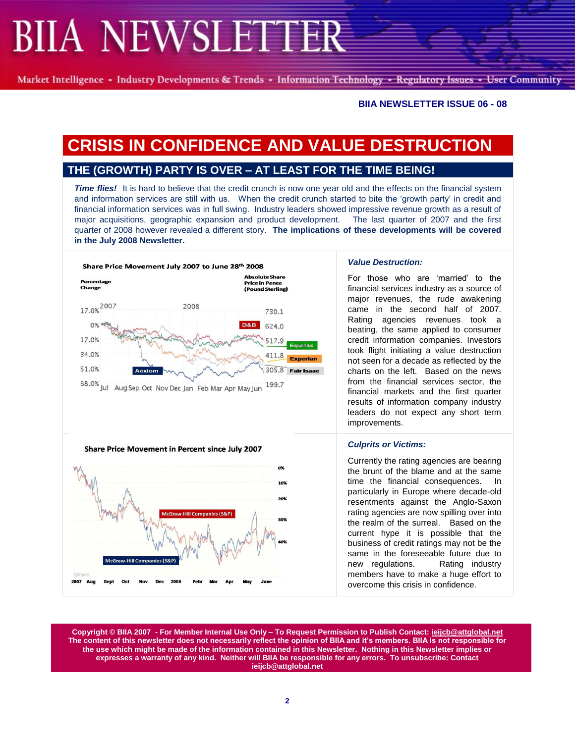Market Intelligence - Industry Developments & Trends - Information Technology - Regulatory Issues - User Community

**BIIA NEWSLETTER ISSUE 06 - 08**

# **CRISIS IN CONFIDENCE AND VALUE DESTRUCTION**

## **THE (GROWTH) PARTY IS OVER – AT LEAST FOR THE TIME BEING!**

*Time flies!*It is hard to believe that the credit crunch is now one year old and the effects on the financial system and information services are still with us. When the credit crunch started to bite the "growth party" in credit and financial information services was in full swing. Industry leaders showed impressive revenue growth as a result of major acquisitions, geographic expansion and product development. The last quarter of 2007 and the first quarter of 2008 however revealed a different story. **The implications of these developments will be covered in the July 2008 Newsletter.**



#### *Value Destruction:*

For those who are "married" to the financial services industry as a source of major revenues, the rude awakening came in the second half of 2007. Rating agencies revenues took a beating, the same applied to consumer credit information companies. Investors took flight initiating a value destruction not seen for a decade as reflected by the charts on the left. Based on the news from the financial services sector, the financial markets and the first quarter results of information company industry leaders do not expect any short term improvements.

#### *Culprits or Victims:*

Currently the rating agencies are bearing the brunt of the blame and at the same time the financial consequences. In particularly in Europe where decade-old resentments against the Anglo-Saxon rating agencies are now spilling over into the realm of the surreal. Based on the current hype it is possible that the business of credit ratings may not be the same in the foreseeable future due to new regulations. Rating industry members have to make a huge effort to overcome this crisis in confidence.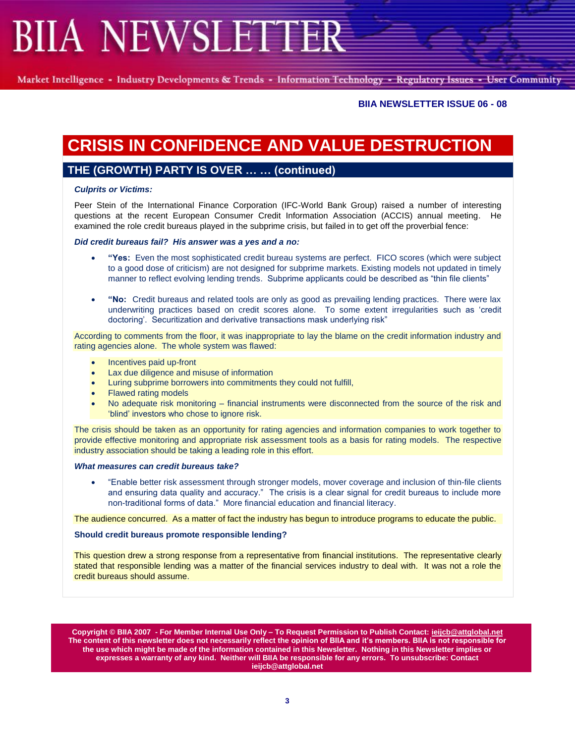Market Intelligence - Industry Developments & Trends - Information Technology - Regulatory Issues - User Community

#### **BIIA NEWSLETTER ISSUE 06 - 08**

# **CRISIS IN CONFIDENCE AND VALUE DESTRUCTION**

## **THE (GROWTH) PARTY IS OVER … … (continued)**

#### *Culprits or Victims:*

Peer Stein of the International Finance Corporation (IFC-World Bank Group) raised a number of interesting questions at the recent European Consumer Credit Information Association (ACCIS) annual meeting. He examined the role credit bureaus played in the subprime crisis, but failed in to get off the proverbial fence:

#### *Did credit bureaus fail? His answer was a yes and a no:*

- **"Yes:** Even the most sophisticated credit bureau systems are perfect. FICO scores (which were subject to a good dose of criticism) are not designed for subprime markets. Existing models not updated in timely manner to reflect evolving lending trends. Subprime applicants could be described as "thin file clients"
- **"No:** Credit bureaus and related tools are only as good as prevailing lending practices. There were lax underwriting practices based on credit scores alone. To some extent irregularities such as "credit doctoring'. Securitization and derivative transactions mask underlying risk"

According to comments from the floor, it was inappropriate to lay the blame on the credit information industry and rating agencies alone. The whole system was flawed:

- Incentives paid up-front
- Lax due diligence and misuse of information
- Luring subprime borrowers into commitments they could not fulfill,
- Flawed rating models
- No adequate risk monitoring financial instruments were disconnected from the source of the risk and "blind" investors who chose to ignore risk.

The crisis should be taken as an opportunity for rating agencies and information companies to work together to provide effective monitoring and appropriate risk assessment tools as a basis for rating models. The respective industry association should be taking a leading role in this effort.

#### *What measures can credit bureaus take?*

 "Enable better risk assessment through stronger models, mover coverage and inclusion of thin-file clients and ensuring data quality and accuracy." The crisis is a clear signal for credit bureaus to include more non-traditional forms of data." More financial education and financial literacy.

The audience concurred. As a matter of fact the industry has begun to introduce programs to educate the public.

#### **Should credit bureaus promote responsible lending?**

This question drew a strong response from a representative from financial institutions. The representative clearly stated that responsible lending was a matter of the financial services industry to deal with. It was not a role the credit bureaus should assume.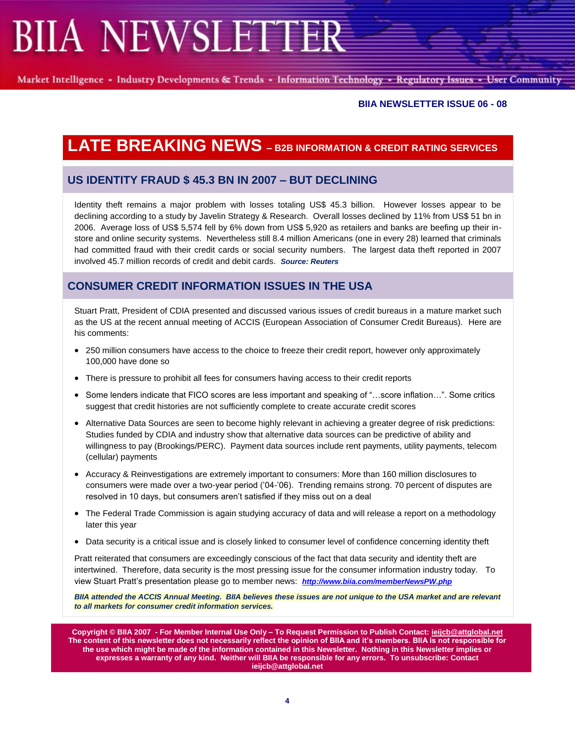Market Intelligence - Industry Developments & Trends - Information Technology - Regulatory Issues - User Community

#### **BIIA NEWSLETTER ISSUE 06 - 08**

## **LATE BREAKING NEWS – B2B INFORMATION & CREDIT RATING SERVICES**

### **US IDENTITY FRAUD \$ 45.3 BN IN 2007 – BUT DECLINING**

Identity theft remains a major problem with losses totaling US\$ 45.3 billion. However losses appear to be declining according to a study by Javelin Strategy & Research. Overall losses declined by 11% from US\$ 51 bn in 2006. Average loss of US\$ 5,574 fell by 6% down from US\$ 5,920 as retailers and banks are beefing up their instore and online security systems. Nevertheless still 8.4 million Americans (one in every 28) learned that criminals had committed fraud with their credit cards or social security numbers. The largest data theft reported in 2007 involved 45.7 million records of credit and debit cards. *Source: Reuters*

### **CONSUMER CREDIT INFORMATION ISSUES IN THE USA**

Stuart Pratt, President of CDIA presented and discussed various issues of credit bureaus in a mature market such as the US at the recent annual meeting of ACCIS (European Association of Consumer Credit Bureaus). Here are his comments:

- 250 million consumers have access to the choice to freeze their credit report, however only approximately 100,000 have done so
- There is pressure to prohibit all fees for consumers having access to their credit reports
- Some lenders indicate that FICO scores are less important and speaking of "…score inflation…". Some critics suggest that credit histories are not sufficiently complete to create accurate credit scores
- Alternative Data Sources are seen to become highly relevant in achieving a greater degree of risk predictions: Studies funded by CDIA and industry show that alternative data sources can be predictive of ability and willingness to pay (Brookings/PERC). Payment data sources include rent payments, utility payments, telecom (cellular) payments
- Accuracy & Reinvestigations are extremely important to consumers: More than 160 million disclosures to consumers were made over a two-year period ("04-"06). Trending remains strong. 70 percent of disputes are resolved in 10 days, but consumers aren"t satisfied if they miss out on a deal
- The Federal Trade Commission is again studying accuracy of data and will release a report on a methodology later this year
- Data security is a critical issue and is closely linked to consumer level of confidence concerning identity theft

Pratt reiterated that consumers are exceedingly conscious of the fact that data security and identity theft are intertwined. Therefore, data security is the most pressing issue for the consumer information industry today. To view Stuart Pratt"s presentation please go to member news: *<http://www.biia.com/memberNewsPW.php>*

*BIIA attended the ACCIS Annual Meeting. BIIA believes these issues are not unique to the USA market and are relevant to all markets for consumer credit information services.*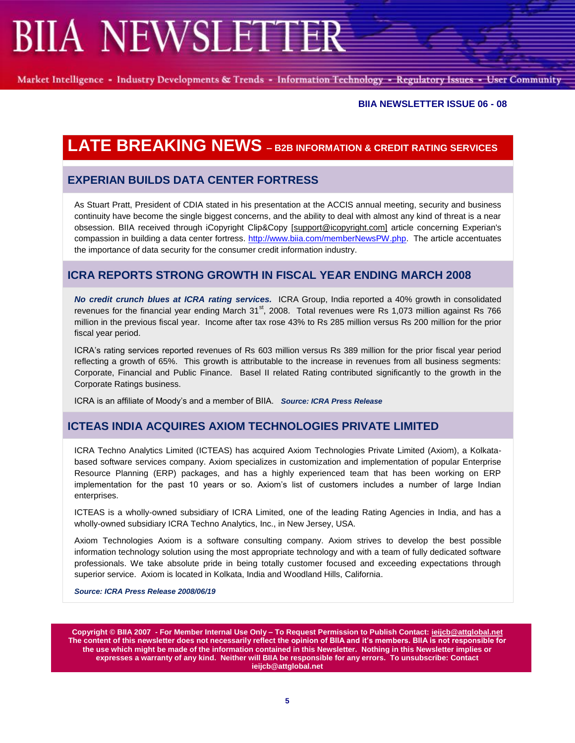Market Intelligence - Industry Developments & Trends - Information Technology - Regulatory Issues - User Community

#### **BIIA NEWSLETTER ISSUE 06 - 08**

# **LATE BREAKING NEWS – B2B INFORMATION & CREDIT RATING SERVICES**

### **EXPERIAN BUILDS DATA CENTER FORTRESS**

As Stuart Pratt, President of CDIA stated in his presentation at the ACCIS annual meeting, security and business continuity have become the single biggest concerns, and the ability to deal with almost any kind of threat is a near obsession. BIIA received through iCopyright Clip&Copy [\[support@icopyright.com\]](mailto:support@icopyright.com]) article concerning Experian's compassion in building a data center fortress. [http://www.biia.com/memberNewsPW.php.](http://www.biia.com/memberNewsPW.php) The article accentuates the importance of data security for the consumer credit information industry.

### **ICRA REPORTS STRONG GROWTH IN FISCAL YEAR ENDING MARCH 2008**

*No credit crunch blues at ICRA rating services.* ICRA Group, India reported a 40% growth in consolidated revenues for the financial year ending March  $31<sup>st</sup>$ , 2008. Total revenues were Rs 1,073 million against Rs 766 million in the previous fiscal year. Income after tax rose 43% to Rs 285 million versus Rs 200 million for the prior fiscal year period.

ICRA"s rating services reported revenues of Rs 603 million versus Rs 389 million for the prior fiscal year period reflecting a growth of 65%. This growth is attributable to the increase in revenues from all business segments: Corporate, Financial and Public Finance. Basel II related Rating contributed significantly to the growth in the Corporate Ratings business.

ICRA is an affiliate of Moody"s and a member of BIIA. *Source: ICRA Press Release*

### **ICTEAS INDIA ACQUIRES AXIOM TECHNOLOGIES PRIVATE LIMITED**

ICRA Techno Analytics Limited (ICTEAS) has acquired Axiom Technologies Private Limited (Axiom), a Kolkatabased software services company. Axiom specializes in customization and implementation of popular Enterprise Resource Planning (ERP) packages, and has a highly experienced team that has been working on ERP implementation for the past 10 years or so. Axiom"s list of customers includes a number of large Indian enterprises.

ICTEAS is a wholly-owned subsidiary of ICRA Limited, one of the leading Rating Agencies in India, and has a wholly-owned subsidiary ICRA Techno Analytics, Inc., in New Jersey, USA.

Axiom Technologies Axiom is a software consulting company. Axiom strives to develop the best possible information technology solution using the most appropriate technology and with a team of fully dedicated software professionals. We take absolute pride in being totally customer focused and exceeding expectations through superior service. Axiom is located in Kolkata, India and Woodland Hills, California.

*Source: ICRA Press Release 2008/06/19*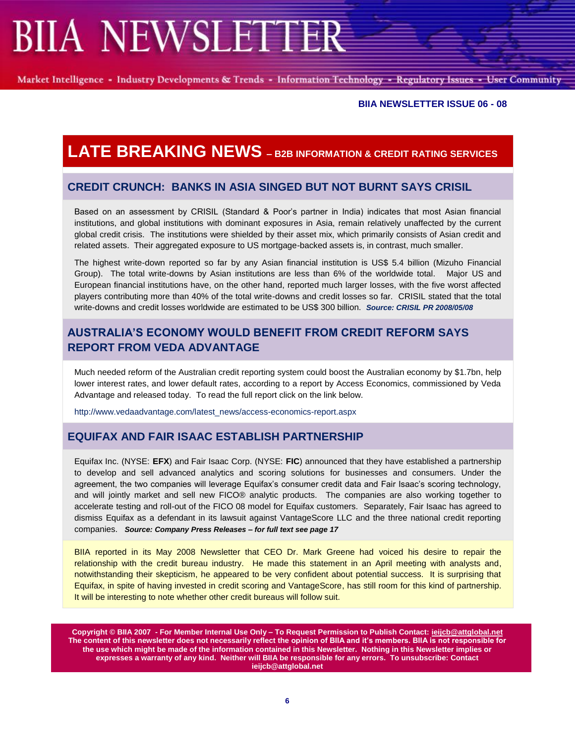Market Intelligence - Industry Developments & Trends - Information Technology - Regulatory Issues - User Community

#### **BIIA NEWSLETTER ISSUE 06 - 08**

# **LATE BREAKING NEWS – B2B INFORMATION & CREDIT RATING SERVICES**

### **CREDIT CRUNCH: BANKS IN ASIA SINGED BUT NOT BURNT SAYS CRISIL**

Based on an assessment by CRISIL (Standard & Poor"s partner in India) indicates that most Asian financial institutions, and global institutions with dominant exposures in Asia, remain relatively unaffected by the current global credit crisis. The institutions were shielded by their asset mix, which primarily consists of Asian credit and related assets. Their aggregated exposure to US mortgage-backed assets is, in contrast, much smaller.

The highest write-down reported so far by any Asian financial institution is US\$ 5.4 billion (Mizuho Financial Group). The total write-downs by Asian institutions are less than 6% of the worldwide total. Major US and European financial institutions have, on the other hand, reported much larger losses, with the five worst affected players contributing more than 40% of the total write-downs and credit losses so far. CRISIL stated that the total write-downs and credit losses worldwide are estimated to be US\$ 300 billion. *Source: CRISIL PR 2008/05/08*

## **AUSTRALIA'S ECONOMY WOULD BENEFIT FROM CREDIT REFORM SAYS REPORT FROM VEDA ADVANTAGE**

Much needed reform of the Australian credit reporting system could boost the Australian economy by \$1.7bn, help lower interest rates, and lower default rates, according to a report by Access Economics, commissioned by Veda Advantage and released today. To read the full report click on the link below.

http://www.vedaadvantage.com/latest\_news/access-economics-report.aspx

### **EQUIFAX AND FAIR ISAAC ESTABLISH PARTNERSHIP**

Equifax Inc. (NYSE: **EFX**) and Fair Isaac Corp. (NYSE: **FIC**) announced that they have established a partnership to develop and sell advanced analytics and scoring solutions for businesses and consumers. Under the agreement, the two companies will leverage Equifax's consumer credit data and Fair Isaac's scoring technology, and will jointly market and sell new FICO® analytic products. The companies are also working together to accelerate testing and roll-out of the FICO 08 model for Equifax customers. Separately, Fair Isaac has agreed to dismiss Equifax as a defendant in its lawsuit against VantageScore LLC and the three national credit reporting companies. *Source: Company Press Releases – for full text see page 17*

BIIA reported in its May 2008 Newsletter that CEO Dr. Mark Greene had voiced his desire to repair the relationship with the credit bureau industry. He made this statement in an April meeting with analysts and, notwithstanding their skepticism, he appeared to be very confident about potential success. It is surprising that Equifax, in spite of having invested in credit scoring and VantageScore, has still room for this kind of partnership. It will be interesting to note whether other credit bureaus will follow suit.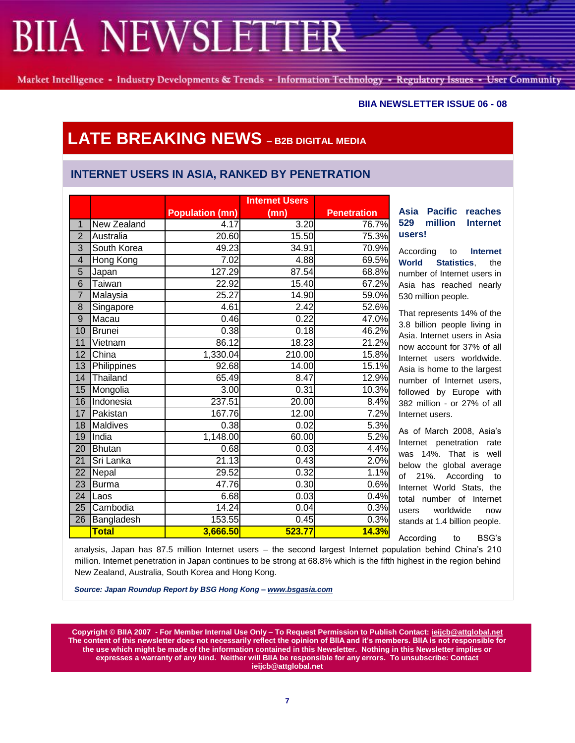Market Intelligence - Industry Developments & Trends - Information Technology - Regulatory Issues - User Community

#### **BIIA NEWSLETTER ISSUE 06 - 08**

# **LATE BREAKING NEWS – B2B DIGITAL MEDIA**

## **INTERNET USERS IN ASIA, RANKED BY PENETRATION**

|                 |                    |                        | <b>Internet Users</b> |                    |
|-----------------|--------------------|------------------------|-----------------------|--------------------|
|                 |                    | <b>Population (mn)</b> | (mn)                  | <b>Penetration</b> |
| 1               | <b>New Zealand</b> | 4.17                   | 3.20                  | 76.7%              |
| $\overline{2}$  | Australia          | 20.60                  | 15.50                 | 75.3%              |
| $\overline{3}$  | South Korea        | $\overline{49.23}$     | 34.91                 | 70.9%              |
| $\overline{4}$  | <b>Hong Kong</b>   | 7.02                   | 4.88                  | 69.5%              |
| 5               | Japan              | $\overline{127}$ .29   | 87.54                 | 68.8%              |
| $\overline{6}$  | <b>Taiwan</b>      | 22.92                  | 15.40                 | 67.2%              |
| $\overline{7}$  | Malaysia           | 25.27                  | 14.90                 | 59.0%              |
| $\overline{8}$  | Singapore          | 4.61                   | 2.42                  | 52.6%              |
| 9               | Macau              | 0.46                   | 0.22                  | 47.0%              |
| 10              | <b>Brunei</b>      | 0.38                   | 0.18                  | 46.2%              |
| 11              | Vietnam            | 86.12                  | 18.23                 | 21.2%              |
| 12              | China              | 1,330.04               | 210.00                | 15.8%              |
| 13              | Philippines        | 92.68                  | 14.00                 | 15.1%              |
| 14              | Thailand           | 65.49                  | 8.47                  | 12.9%              |
| 15              | Mongolia           | 3.00                   | 0.31                  | 10.3%              |
| 16              | Indonesia          | 237.51                 | 20.00                 | 8.4%               |
| 17              | Pakistan           | 167.76                 | 12.00                 | 7.2%               |
| 18              | <b>Maldives</b>    | 0.38                   | 0.02                  | 5.3%               |
| 19              | India              | 1,148.00               | 60.00                 | 5.2%               |
| $\overline{20}$ | <b>Bhutan</b>      | 0.68                   | 0.03                  | 4.4%               |
| 21              | Sri Lanka          | 21.13                  | 0.43                  | 2.0%               |
| $\overline{22}$ | Nepal              | 29.52                  | 0.32                  | 1.1%               |
| 23              | <b>Burma</b>       | 47.76                  | 0.30                  | 0.6%               |
| 24              | Laos               | 6.68                   | 0.03                  | 0.4%               |
| 25              | Cambodia           | 14.24                  | 0.04                  | 0.3%               |
| 26              | Bangladesh         | 153.55                 | 0.45                  | 0.3%               |
|                 | <b>Total</b>       | 3,666.50               | 523.77                | <b>14.3%</b>       |

#### **Asia Pacific reaches 529 million Internet users!**

According to **[Internet](http://www.internetworldstats.com/stats.htm)  [World Statistics](http://www.internetworldstats.com/stats.htm)**, the number of Internet users in Asia has reached nearly 530 million people.

That represents 14% of the 3.8 billion people living in Asia. Internet users in Asia now account for 37% of all Internet users worldwide. Asia is home to the largest number of Internet users, followed by Europe with 382 million - or 27% of all Internet users.

As of March 2008, Asia"s Internet penetration rate was 14%. That is well below the global average of 21%. According to Internet World Stats, the total number of Internet users worldwide now stands at 1.4 billion people.

According to BSG"s

analysis, Japan has 87.5 million Internet users – the second largest Internet population behind China"s 210 million. Internet penetration in Japan continues to be strong at 68.8% which is the fifth highest in the region behind New Zealand, Australia, South Korea and Hong Kong.

*Source: Japan Roundup Report by BSG Hong Kong – [www.bsgasia.com](http://www.bsgasia.com/)*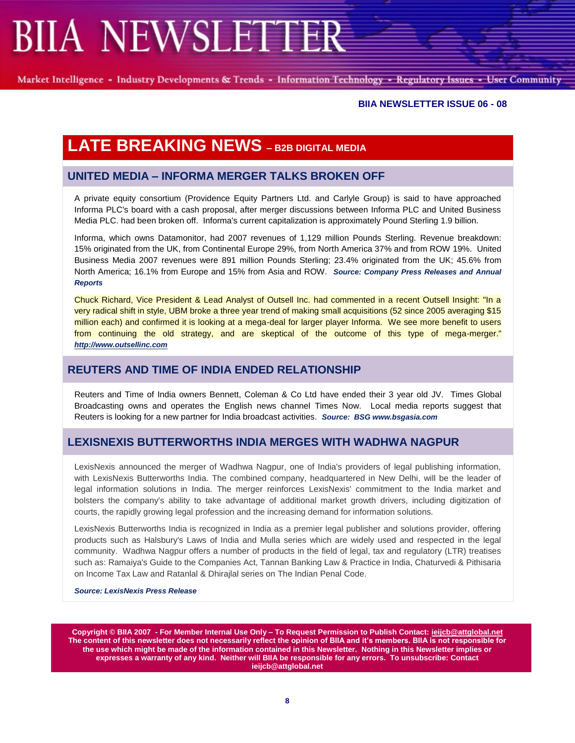Market Intelligence - Industry Developments & Trends - Information Technology - Regulatory Issues - User Community

#### **BIIA NEWSLETTER ISSUE 06 - 08**

## **LATE BREAKING NEWS – B2B DIGITAL MEDIA**

### **UNITED MEDIA – INFORMA MERGER TALKS BROKEN OFF**

A private equity consortium (Providence Equity Partners Ltd. and Carlyle Group) is said to have approached Informa PLC's board with a cash proposal, after merger discussions between Informa PLC and United Business Media PLC. had been broken off. Informa's current capitalization is approximately Pound Sterling 1.9 billion.

Informa, which owns Datamonitor, had 2007 revenues of 1,129 million Pounds Sterling. Revenue breakdown: 15% originated from the UK, from Continental Europe 29%, from North America 37% and from ROW 19%. United Business Media 2007 revenues were 891 million Pounds Sterling; 23.4% originated from the UK; 45.6% from North America; 16.1% from Europe and 15% from Asia and ROW. *Source: Company Press Releases and Annual Reports*

Chuck Richard, Vice President & Lead Analyst of Outsell Inc. had commented in a recent Outsell Insight: "In a very radical shift in style, UBM broke a three year trend of making small acquisitions (52 since 2005 averaging \$15 million each) and confirmed it is looking at a mega-deal for larger player Informa. We see more benefit to users from continuing the old strategy, and are skeptical of the outcome of this type of mega-merger." *[http://www.outsellinc.com](http://www.outsellinc.com/)*

### **REUTERS AND TIME OF INDIA ENDED RELATIONSHIP**

Reuters and Time of India owners Bennett, Coleman & Co Ltd have ended their 3 year old JV. Times Global Broadcasting owns and operates the English news channel Times Now. Local media reports suggest that Reuters is looking for a new partner for India broadcast activities. *Source: BSG www.bsgasia.com*

### **LEXISNEXIS BUTTERWORTHS INDIA MERGES WITH WADHWA NAGPUR**

LexisNexis announced the merger of Wadhwa Nagpur, one of India's providers of legal publishing information, with LexisNexis Butterworths India. The combined company, headquartered in New Delhi, will be the leader of legal information solutions in India. The merger reinforces LexisNexis' commitment to the India market and bolsters the company's ability to take advantage of additional market growth drivers, including digitization of courts, the rapidly growing legal profession and the increasing demand for information solutions.

LexisNexis Butterworths India is recognized in India as a premier legal publisher and solutions provider, offering products such as Halsbury's Laws of India and Mulla series which are widely used and respected in the legal community. Wadhwa Nagpur offers a number of products in the field of legal, tax and regulatory (LTR) treatises such as: Ramaiya's Guide to the Companies Act, Tannan Banking Law & Practice in India, Chaturvedi & Pithisaria on Income Tax Law and Ratanlal & Dhirajlal series on The Indian Penal Code.

#### *Source: LexisNexis Press Release*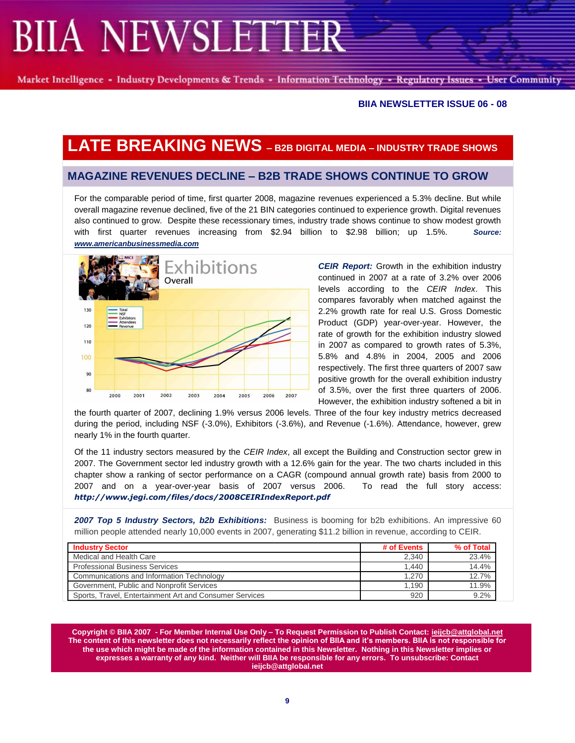Market Intelligence - Industry Developments & Trends - Information Technology - Regulatory Issues - User Community

#### **BIIA NEWSLETTER ISSUE 06 - 08**

## **LATE BREAKING NEWS – B2B DIGITAL MEDIA – INDUSTRY TRADE SHOWS**

#### **MAGAZINE REVENUES DECLINE – B2B TRADE SHOWS CONTINUE TO GROW**

For the comparable period of time, first quarter 2008, magazine revenues experienced a 5.3% decline. But while overall magazine revenue declined, five of the 21 BIN categories continued to experience growth. Digital revenues also continued to grow. Despite these recessionary times, industry trade shows continue to show modest growth with first quarter revenues increasing from \$2.94 billion to \$2.98 billion; up 1.5%. *Source: [www.americanbusinessmedia.com](http://www.americanbusinessmedia.com/)*



*CEIR Report:* Growth in the exhibition industry continued in 2007 at a rate of 3.2% over 2006 levels according to the *CEIR Index*. This compares favorably when matched against the 2.2% growth rate for real U.S. Gross Domestic Product (GDP) year-over-year. However, the rate of growth for the exhibition industry slowed in 2007 as compared to growth rates of 5.3%, 5.8% and 4.8% in 2004, 2005 and 2006 respectively. The first three quarters of 2007 saw positive growth for the overall exhibition industry of 3.5%, over the first three quarters of 2006. However, the exhibition industry softened a bit in

the fourth quarter of 2007, declining 1.9% versus 2006 levels. Three of the four key industry metrics decreased during the period, including NSF (-3.0%), Exhibitors (-3.6%), and Revenue (-1.6%). Attendance, however, grew nearly 1% in the fourth quarter.

Of the 11 industry sectors measured by the *CEIR Index*, all except the Building and Construction sector grew in 2007. The Government sector led industry growth with a 12.6% gain for the year. The two charts included in this chapter show a ranking of sector performance on a CAGR (compound annual growth rate) basis from 2000 to 2007 and on a year-over-year basis of 2007 versus 2006. To read the full story access: *http://www.jegi.com/files/docs/2008CEIRIndexReport.pdf*

2007 Top 5 Industry Sectors, b2b Exhibitions: Business is booming for b2b exhibitions. An impressive 60 million people attended nearly 10,000 events in 2007, generating \$11.2 billion in revenue, according to CEIR.

| <b>Industry Sector</b>                                  | # of Events | % of Total |
|---------------------------------------------------------|-------------|------------|
| Medical and Health Care                                 | 2.340       | 23.4%      |
| <b>Professional Business Services</b>                   | 1.440       | 14.4%      |
| Communications and Information Technology               | 1.270       | 12.7%      |
| Government, Public and Nonprofit Services               | 1,190       | 11.9%      |
| Sports, Travel, Entertainment Art and Consumer Services | 920         | 9.2%       |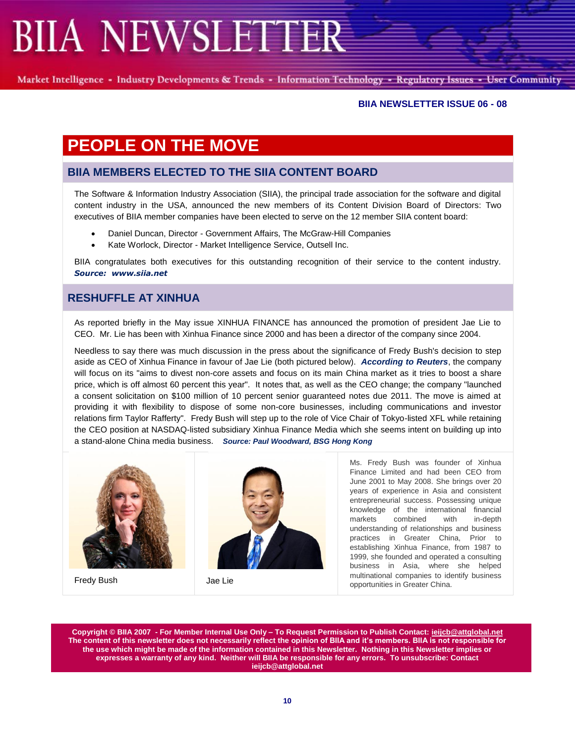Market Intelligence - Industry Developments & Trends - Information Technology - Regulatory Issues - User Community

#### **BIIA NEWSLETTER ISSUE 06 - 08**

# **PEOPLE ON THE MOVE**

## **BIIA MEMBERS ELECTED TO THE SIIA CONTENT BOARD**

The Software & Information Industry Association (SIIA), the principal trade association for the software and digital content industry in the USA, announced the new members of its Content Division Board of Directors: Two executives of BIIA member companies have been elected to serve on the 12 member SIIA content board:

- Daniel Duncan, Director Government Affairs, The McGraw-Hill Companies
- Kate Worlock, Director Market Intelligence Service, Outsell Inc.

BIIA congratulates both executives for this outstanding recognition of their service to the content industry. *Source: www.siia.net*

### **RESHUFFLE AT XINHUA**

As reported briefly in the May issue XINHUA FINANCE has announced the promotion of president Jae Lie to CEO. Mr. Lie has been with Xinhua Finance since 2000 and has been a director of the company since 2004.

Needless to say there was much discussion in the press about the significance of [Fredy Bush's decision to step](http://www.prnewswire.com/cgi-bin/stories.pl?ACCT=104&STORY=/www/story/05-26-2008/0004820594&EDATE=)  [aside](http://www.prnewswire.com/cgi-bin/stories.pl?ACCT=104&STORY=/www/story/05-26-2008/0004820594&EDATE=) as CEO of Xinhua Finance in favour of Jae Lie (both pictured below). *[According to Reuters](http://www.reuters.com/article/reutersEdge/idUSHKG7081020080526)*, the company will focus on its "aims to divest non-core assets and focus on its main China market as it tries to boost a share price, which is off almost 60 percent this year". It notes that, as well as the CEO change; the company "launched a consent solicitation on \$100 million of 10 percent senior guaranteed notes due 2011. The move is aimed at providing it with flexibility to dispose of some non-core businesses, including communications and investor relations firm Taylor Rafferty". Fredy Bush will step up to the role of Vice Chair of Tokyo-listed XFL while retaining the CEO position at NASDAQ-listed subsidiary Xinhua Finance Media which she seems intent on building up into a stand-alone China media business. *Source: Paul Woodward, BSG Hong Kong*



Fredy Bush Jae Lie



Ms. Fredy Bush was founder of Xinhua Finance Limited and had been CEO from June 2001 to May 2008. She brings over 20 years of experience in Asia and consistent entrepreneurial success. Possessing unique knowledge of the international financial markets combined with in-depth understanding of relationships and business practices in Greater China, Prior to establishing Xinhua Finance, from 1987 to 1999, she founded and operated a consulting business in Asia, where she helped multinational companies to identify business opportunities in Greater China.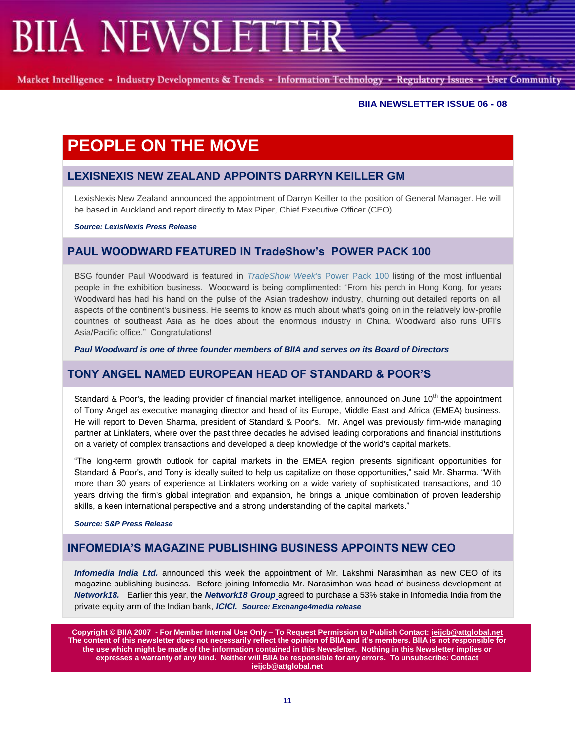Market Intelligence - Industry Developments & Trends - Information Technology - Regulatory Issues - User Community

#### **BIIA NEWSLETTER ISSUE 06 - 08**

# **PEOPLE ON THE MOVE**

### **LEXISNEXIS NEW ZEALAND APPOINTS DARRYN KEILLER GM**

LexisNexis New Zealand announced the appointment of Darryn Keiller to the position of General Manager. He will be based in Auckland and report directly to Max Piper, Chief Executive Officer (CEO).

*Source: LexisNexis Press Release*

## **PAUL WOODWARD FEATURED IN TradeShow's POWER PACK 100**

BSG founder Paul Woodward is featured in *TradeShow Week*['s Power Pack 100](http://www.tradeshowweek.com/article/CA6567588.html?industryid=47240) listing of the most influential people in the exhibition business. Woodward is being complimented: "From his perch in Hong Kong, for years Woodward has had his hand on the pulse of the Asian tradeshow industry, churning out detailed reports on all aspects of the continent's business. He seems to know as much about what's going on in the relatively low-profile countries of southeast Asia as he does about the enormous industry in China. Woodward also runs UFI's Asia/Pacific office." Congratulations!

*Paul Woodward is one of three founder members of BIIA and serves on its Board of Directors*

## **TONY ANGEL NAMED EUROPEAN HEAD OF STANDARD & POOR'S**

Standard & Poor's, the leading provider of financial market intelligence, announced on June  $10<sup>th</sup>$  the appointment of Tony Angel as executive managing director and head of its Europe, Middle East and Africa (EMEA) business. He will report to Deven Sharma, president of Standard & Poor's. Mr. Angel was previously firm-wide managing partner at Linklaters, where over the past three decades he advised leading corporations and financial institutions on a variety of complex transactions and developed a deep knowledge of the world's capital markets.

"The long-term growth outlook for capital markets in the EMEA region presents significant opportunities for Standard & Poor's, and Tony is ideally suited to help us capitalize on those opportunities," said Mr. Sharma. "With more than 30 years of experience at Linklaters working on a wide variety of sophisticated transactions, and 10 years driving the firm's global integration and expansion, he brings a unique combination of proven leadership skills, a keen international perspective and a strong understanding of the capital markets."

#### *Source: S&P Press Release*

### **INFOMEDIA'S MAGAZINE PUBLISHING BUSINESS APPOINTS NEW CEO**

*Infomedia India Ltd.* announced this week the appointment of Mr. Lakshmi Narasimhan as new CEO of its magazine publishing business. Before joining Infomedia Mr. Narasimhan was head of business development at *Network18.* Earlier this year, the *Network18 Group* agreed to purchase a 53% stake in Infomedia India from the private equity arm of the Indian bank, *ICICI. Source: Exchange4media release*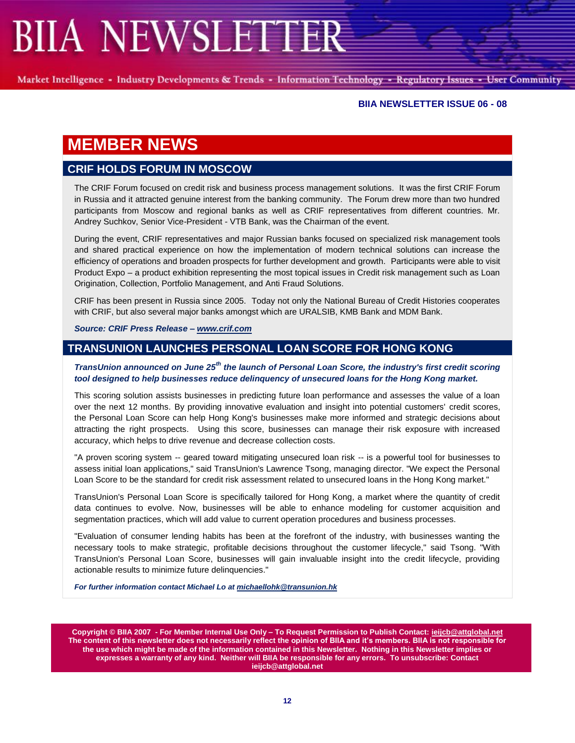Market Intelligence - Industry Developments & Trends - Information Technology - Regulatory Issues - User Community

#### **BIIA NEWSLETTER ISSUE 06 - 08**

# **MEMBER NEWS**

## **CRIF HOLDS FORUM IN MOSCOW**

The CRIF Forum focused on credit risk and business process management solutions. It was the first CRIF Forum in Russia and it attracted genuine interest from the banking community. The Forum drew more than two hundred participants from Moscow and regional banks as well as CRIF representatives from different countries. Mr. Andrey Suchkov, Senior Vice-President - VTB Bank, was the Chairman of the event.

During the event, CRIF representatives and major Russian banks focused on specialized risk management tools and shared practical experience on how the implementation of modern technical solutions can increase the efficiency of operations and broaden prospects for further development and growth. Participants were able to visit Product Expo – a product exhibition representing the most topical issues in Credit risk management such as Loan Origination, Collection, Portfolio Management, and Anti Fraud Solutions.

CRIF has been present in Russia since 2005. Today not only the National Bureau of Credit Histories cooperates with CRIF, but also several major banks amongst which are URALSIB, KMB Bank and MDM Bank.

*Source: CRIF Press Release – [www.crif.com](http://www.crif.com/)*

### **TRANSUNION LAUNCHES PERSONAL LOAN SCORE FOR HONG KONG**

*TransUnion announced on June 25th the launch of Personal Loan Score, the industry's first credit scoring tool designed to help businesses reduce delinquency of unsecured loans for the Hong Kong market.* 

This scoring solution assists businesses in predicting future loan performance and assesses the value of a loan over the next 12 months. By providing innovative evaluation and insight into potential customers' credit scores, the Personal Loan Score can help Hong Kong's businesses make more informed and strategic decisions about attracting the right prospects.Using this score, businesses can manage their risk exposure with increased accuracy, which helps to drive revenue and decrease collection costs.

"A proven scoring system -- geared toward mitigating unsecured loan risk -- is a powerful tool for businesses to assess initial loan applications," said TransUnion's Lawrence Tsong, managing director. "We expect the Personal Loan Score to be the standard for credit risk assessment related to unsecured loans in the Hong Kong market."

TransUnion's Personal Loan Score is specifically tailored for Hong Kong, a market where the quantity of credit data continues to evolve. Now, businesses will be able to enhance modeling for customer acquisition and segmentation practices, which will add value to current operation procedures and business processes.

"Evaluation of consumer lending habits has been at the forefront of the industry, with businesses wanting the necessary tools to make strategic, profitable decisions throughout the customer lifecycle," said Tsong. "With TransUnion's Personal Loan Score, businesses will gain invaluable insight into the credit lifecycle, providing actionable results to minimize future delinquencies."

*For further information contact Michael Lo a[t michaellohk@transunion.hk](mailto:michaellohk@transunion.hk)*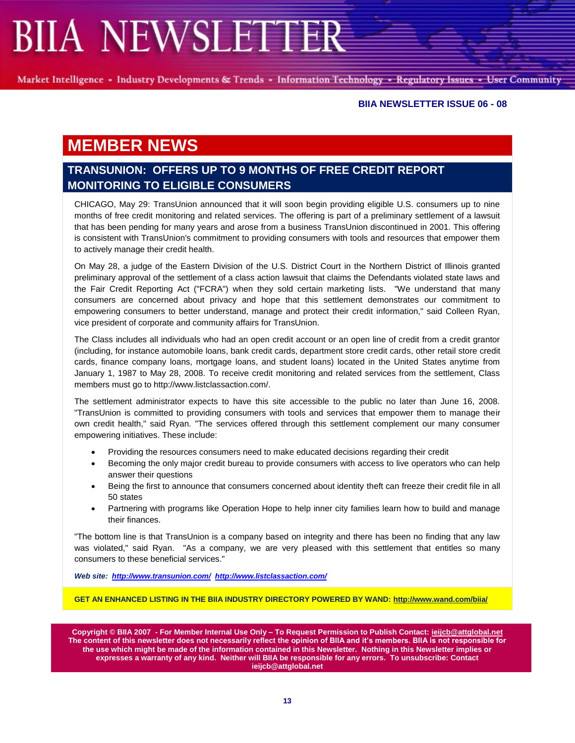Market Intelligence - Industry Developments & Trends - Information Technology - Regulatory Issues - User Community

#### **BIIA NEWSLETTER ISSUE 06 - 08**

# **MEMBER NEWS**

## **TRANSUNION: OFFERS UP TO 9 MONTHS OF FREE CREDIT REPORT MONITORING TO ELIGIBLE CONSUMERS**

CHICAGO, May 29: TransUnion announced that it will soon begin providing eligible U.S. consumers up to nine months of free credit monitoring and related services. The offering is part of a preliminary settlement of a lawsuit that has been pending for many years and arose from a business TransUnion discontinued in 2001. This offering is consistent with TransUnion's commitment to providing consumers with tools and resources that empower them to actively manage their credit health.

On May 28, a judge of the Eastern Division of the U.S. District Court in the Northern District of Illinois granted preliminary approval of the settlement of a class action lawsuit that claims the Defendants violated state laws and the Fair Credit Reporting Act ("FCRA") when they sold certain marketing lists. "We understand that many consumers are concerned about privacy and hope that this settlement demonstrates our commitment to empowering consumers to better understand, manage and protect their credit information," said Colleen Ryan, vice president of corporate and community affairs for TransUnion.

The Class includes all individuals who had an open credit account or an open line of credit from a credit grantor (including, for instance automobile loans, bank credit cards, department store credit cards, other retail store credit cards, finance company loans, mortgage loans, and student loans) located in the United States anytime from January 1, 1987 to May 28, 2008. To receive credit monitoring and related services from the settlement, Class members must go to http://www.listclassaction.com/.

The settlement administrator expects to have this site accessible to the public no later than June 16, 2008. "TransUnion is committed to providing consumers with tools and services that empower them to manage their own credit health," said Ryan. "The services offered through this settlement complement our many consumer empowering initiatives. These include:

- Providing the resources consumers need to make educated decisions regarding their credit
- Becoming the only major credit bureau to provide consumers with access to live operators who can help answer their questions
- Being the first to announce that consumers concerned about identity theft can freeze their credit file in all 50 states
- Partnering with programs like Operation Hope to help inner city families learn how to build and manage their finances.

"The bottom line is that TransUnion is a company based on integrity and there has been no finding that any law was violated," said Ryan. "As a company, we are very pleased with this settlement that entitles so many consumers to these beneficial services."

*Web site:<http://www.transunion.com/><http://www.listclassaction.com/>*

**GET AN ENHANCED LISTING IN THE BIIA INDUSTRY DIRECTORY POWERED BY WAND:<http://www.wand.com/biia/>**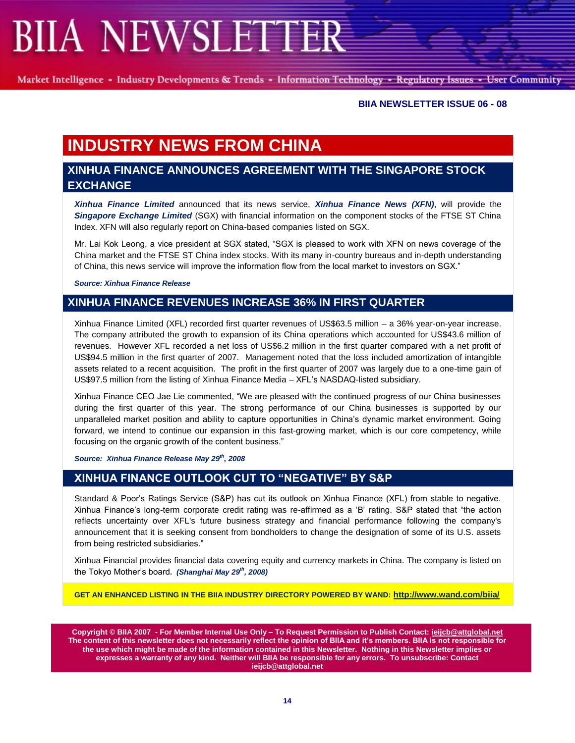Market Intelligence - Industry Developments & Trends - Information Technology - Regulatory Issues - User Community

#### **BIIA NEWSLETTER ISSUE 06 - 08**

# **INDUSTRY NEWS FROM CHINA**

## **XINHUA FINANCE ANNOUNCES AGREEMENT WITH THE SINGAPORE STOCK EXCHANGE**

*Xinhua Finance Limited* announced that its news service, *Xinhua Finance News (XFN)*, will provide the *Singapore Exchange Limited* (SGX) with financial information on the component stocks of the FTSE ST China Index. XFN will also regularly report on China-based companies listed on SGX.

Mr. Lai Kok Leong, a vice president at SGX stated, "SGX is pleased to work with XFN on news coverage of the China market and the FTSE ST China index stocks. With its many in-country bureaus and in-depth understanding of China, this news service will improve the information flow from the local market to investors on SGX."

*Source: Xinhua Finance Release*

#### **XINHUA FINANCE REVENUES INCREASE 36% IN FIRST QUARTER**

Xinhua Finance Limited (XFL) recorded first quarter revenues of US\$63.5 million – a 36% year-on-year increase. The company attributed the growth to expansion of its China operations which accounted for US\$43.6 million of revenues. However XFL recorded a net loss of US\$6.2 million in the first quarter compared with a net profit of US\$94.5 million in the first quarter of 2007. Management noted that the loss included amortization of intangible assets related to a recent acquisition. The profit in the first quarter of 2007 was largely due to a one-time gain of US\$97.5 million from the listing of Xinhua Finance Media – XFL"s NASDAQ-listed subsidiary.

Xinhua Finance CEO Jae Lie commented, "We are pleased with the continued progress of our China businesses during the first quarter of this year. The strong performance of our China businesses is supported by our unparalleled market position and ability to capture opportunities in China"s dynamic market environment. Going forward, we intend to continue our expansion in this fast-growing market, which is our core competency, while focusing on the organic growth of the content business."

*Source: Xinhua Finance Release May 29th, 2008*

## **XINHUA FINANCE OUTLOOK CUT TO "NEGATIVE" BY S&P**

Standard & Poor"s Ratings Service (S&P) has cut its outlook on Xinhua Finance (XFL) from stable to negative. Xinhua Finance"s long-term corporate credit rating was re-affirmed as a "B" rating. S&P stated that "the action reflects uncertainty over XFL's future business strategy and financial performance following the company's announcement that it is seeking consent from bondholders to change the designation of some of its U.S. assets from being restricted subsidiaries."

Xinhua Financial provides financial data covering equity and currency markets in China. The company is listed on the Tokyo Mother"s board*. (Shanghai May 29th, 2008)*

**GET AN ENHANCED LISTING IN THE BIIA INDUSTRY DIRECTORY POWERED BY WAND: <http://www.wand.com/biia/>**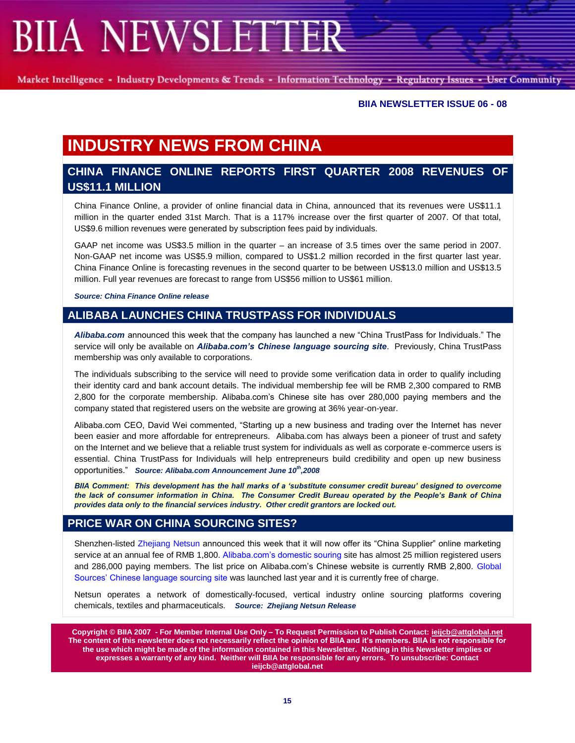Market Intelligence - Industry Developments & Trends - Information Technology - Regulatory Issues - User Community

#### **BIIA NEWSLETTER ISSUE 06 - 08**

# **INDUSTRY NEWS FROM CHINA**

## **CHINA FINANCE ONLINE REPORTS FIRST QUARTER 2008 REVENUES OF US\$11.1 MILLION**

China Finance Online, a provider of online financial data in China, announced that its revenues were US\$11.1 million in the quarter ended 31st March. That is a 117% increase over the first quarter of 2007. Of that total, US\$9.6 million revenues were generated by subscription fees paid by individuals.

GAAP net income was US\$3.5 million in the quarter – an increase of 3.5 times over the same period in 2007. Non-GAAP net income was US\$5.9 million, compared to US\$1.2 million recorded in the first quarter last year. China Finance Online is forecasting revenues in the second quarter to be between US\$13.0 million and US\$13.5 million. Full year revenues are forecast to range from US\$56 million to US\$61 million.

*Source: China Finance Online release*

## **ALIBABA LAUNCHES CHINA TRUSTPASS FOR INDIVIDUALS**

*Alibaba.com* announced this week that the company has launched a new "China TrustPass for Individuals." The service will only be available on *Alibaba.com's Chinese language sourcing site*. Previously, China TrustPass membership was only available to corporations.

The individuals subscribing to the service will need to provide some verification data in order to qualify including their identity card and bank account details. The individual membership fee will be RMB 2,300 compared to RMB 2,800 for the corporate membership. Alibaba.com"s Chinese site has over 280,000 paying members and the company stated that registered users on the website are growing at 36% year-on-year.

Alibaba.com CEO, David Wei commented, "Starting up a new business and trading over the Internet has never been easier and more affordable for entrepreneurs. Alibaba.com has always been a pioneer of trust and safety on the Internet and we believe that a reliable trust system for individuals as well as corporate e-commerce users is essential. China TrustPass for Individuals will help entrepreneurs build credibility and open up new business opportunities." *Source: Alibaba.com Announcement June 10th,2008*

*BIIA Comment: This development has the hall marks of a 'substitute consumer credit bureau' designed to overcome the lack of consumer information in China. The Consumer Credit Bureau operated by the People's Bank of China provides data only to the financial services industry. Other credit grantors are locked out.*

## **PRICE WAR ON CHINA SOURCING SITES?**

Shenzhen-listed Zhejiang Netsun announced this week that it will now offer its "China Supplier" online marketing service at an annual fee of RMB 1,800. Alibaba.com's domestic souring site has almost 25 million registered users and 286,000 paying members. The list price on Alibaba.com"s Chinese website is currently RMB 2,800. Global Sources" Chinese language sourcing site was launched last year and it is currently free of charge.

Netsun operates a network of domestically-focused, vertical industry online sourcing platforms covering chemicals, textiles and pharmaceuticals. *Source: Zhejiang Netsun Release*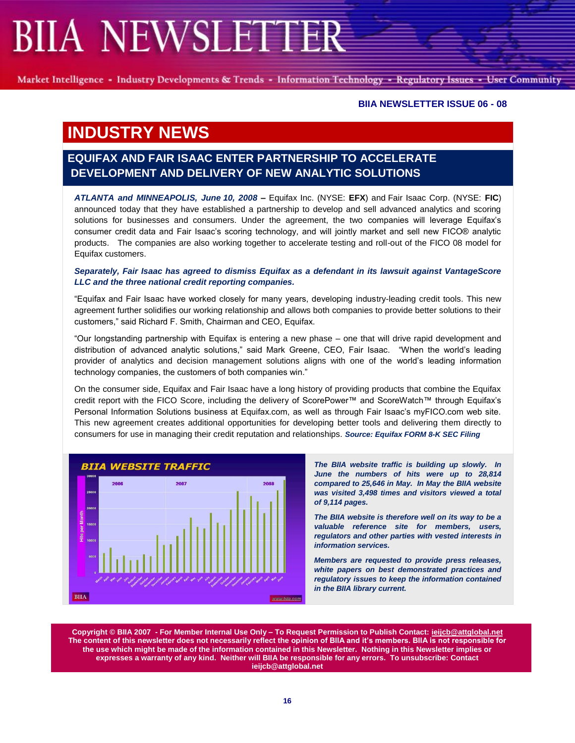Market Intelligence - Industry Developments & Trends - Information Technology - Regulatory Issues - User Community

#### **BIIA NEWSLETTER ISSUE 06 - 08**

# **INDUSTRY NEWS**

## **EQUIFAX AND FAIR ISAAC ENTER PARTNERSHIP TO ACCELERATE DEVELOPMENT AND DELIVERY OF NEW ANALYTIC SOLUTIONS**

*ATLANTA and MINNEAPOLIS, June 10, 2008* **–** Equifax Inc. (NYSE: **EFX**) and Fair Isaac Corp. (NYSE: **FIC**) announced today that they have established a partnership to develop and sell advanced analytics and scoring solutions for businesses and consumers. Under the agreement, the two companies will leverage Equifax's consumer credit data and Fair Isaac's scoring technology, and will jointly market and sell new FICO® analytic products. The companies are also working together to accelerate testing and roll-out of the FICO 08 model for Equifax customers.

#### *Separately, Fair Isaac has agreed to dismiss Equifax as a defendant in its lawsuit against VantageScore LLC and the three national credit reporting companies.*

"Equifax and Fair Isaac have worked closely for many years, developing industry-leading credit tools. This new agreement further solidifies our working relationship and allows both companies to provide better solutions to their customers," said Richard F. Smith, Chairman and CEO, Equifax.

"Our longstanding partnership with Equifax is entering a new phase – one that will drive rapid development and distribution of advanced analytic solutions," said Mark Greene, CEO, Fair Isaac. "When the world"s leading provider of analytics and decision management solutions aligns with one of the world"s leading information technology companies, the customers of both companies win."

On the consumer side, Equifax and Fair Isaac have a long history of providing products that combine the Equifax credit report with the FICO Score, including the delivery of ScorePower™ and ScoreWatch™ through Equifax"s Personal Information Solutions business at Equifax.com, as well as through Fair Isaac"s myFICO.com web site. This new agreement creates additional opportunities for developing better tools and delivering them directly to consumers for use in managing their credit reputation and relationships. *Source: Equifax FORM 8-K SEC Filing*



*The BIIA website traffic is building up slowly. In June the numbers of hits were up to 28,814 compared to 25,646 in May. In May the BIIA website was visited 3,498 times and visitors viewed a total of 9,114 pages.* 

*The BIIA website is therefore well on its way to be a valuable reference site for members, users, regulators and other parties with vested interests in information services.*

*Members are requested to provide press releases, white papers on best demonstrated practices and regulatory issues to keep the information contained in the BIIA library current.*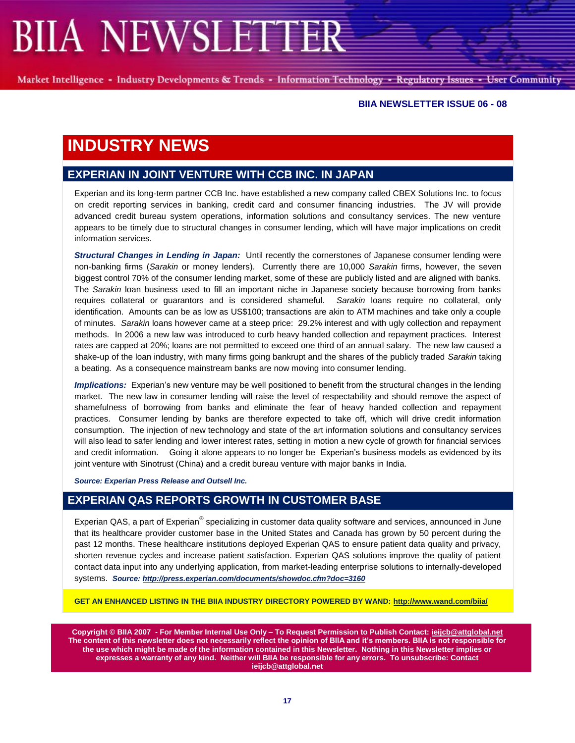Market Intelligence - Industry Developments & Trends - Information Technology - Regulatory Issues - User Community

#### **BIIA NEWSLETTER ISSUE 06 - 08**

# **INDUSTRY NEWS**

## **EXPERIAN IN JOINT VENTURE WITH CCB INC. IN JAPAN**

Experian and its long-term partner CCB Inc. have established a new company called CBEX Solutions Inc. to focus on credit reporting services in banking, credit card and consumer financing industries. The JV will provide advanced credit bureau system operations, information solutions and consultancy services. The new venture appears to be timely due to structural changes in consumer lending, which will have major implications on credit information services.

*Structural Changes in Lending in Japan:* Until recently the cornerstones of Japanese consumer lending were non-banking firms (*Sarakin* or money lenders). Currently there are 10,000 *Sarakin* firms, however, the seven biggest control 70% of the consumer lending market, some of these are publicly listed and are aligned with banks. The *Sarakin* loan business used to fill an important niche in Japanese society because borrowing from banks requires collateral or guarantors and is considered shameful. *Sarakin* loans require no collateral, only identification. Amounts can be as low as US\$100; transactions are akin to ATM machines and take only a couple of minutes. *Sarakin* loans however came at a steep price: 29.2% interest and with ugly collection and repayment methods. In 2006 a new law was introduced to curb heavy handed collection and repayment practices. Interest rates are capped at 20%; loans are not permitted to exceed one third of an annual salary. The new law caused a shake-up of the loan industry, with many firms going bankrupt and the shares of the publicly traded *Sarakin* taking a beating. As a consequence mainstream banks are now moving into consumer lending.

*Implications:* Experian's new venture may be well positioned to benefit from the structural changes in the lending market. The new law in consumer lending will raise the level of respectability and should remove the aspect of shamefulness of borrowing from banks and eliminate the fear of heavy handed collection and repayment practices. Consumer lending by banks are therefore expected to take off, which will drive credit information consumption. The injection of new technology and state of the art information solutions and consultancy services will also lead to safer lending and lower interest rates, setting in motion a new cycle of growth for financial services and credit information. Going it alone appears to no longer be Experian"s business models as evidenced by its joint venture with Sinotrust (China) and a credit bureau venture with major banks in India.

*Source: Experian Press Release and Outsell Inc.*

## **EXPERIAN QAS REPORTS GROWTH IN CUSTOMER BASE**

Experian QAS, a part of Experian<sup>®</sup> specializing in customer [data quality software](http://www.qas.com/address-software.htm) and services, announced in June that its healthcare provider customer base in the United States and Canada has grown by 50 percent during the past 12 months. These healthcare institutions deployed Experian QAS to ensure patient data quality and privacy, shorten revenue cycles and increase patient satisfaction. Experian QAS solutions improve the quality of patient contact data input into any underlying application, from market-leading enterprise solutions to internally-developed systems. *Source[: http://press.experian.com/documents/showdoc.cfm?doc=3160](http://press.experian.com/documents/showdoc.cfm?doc=3160)*

**GET AN ENHANCED LISTING IN THE BIIA INDUSTRY DIRECTORY POWERED BY WAND:<http://www.wand.com/biia/>**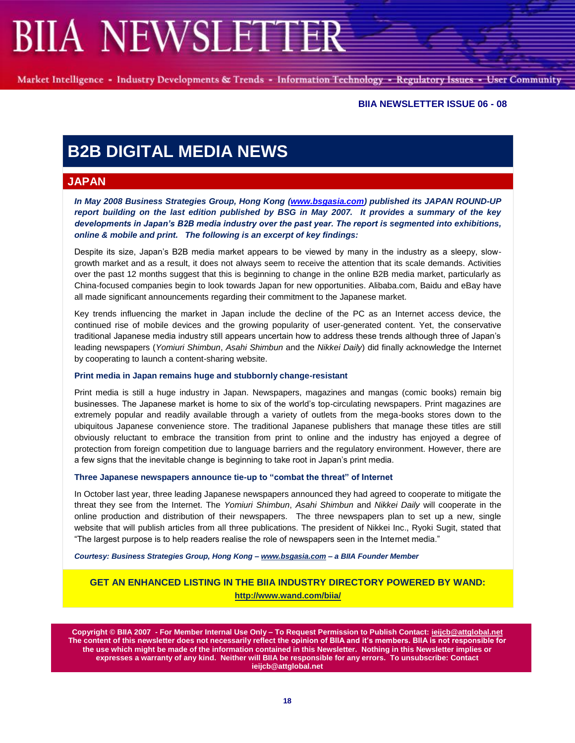Market Intelligence - Industry Developments & Trends - Information Technology - Regulatory Issues - User Community

#### **BIIA NEWSLETTER ISSUE 06 - 08**

# **B2B DIGITAL MEDIA NEWS**

#### **JAPAN**

*In May 2008 Business Strategies Group, Hong Kong [\(www.bsgasia.com\)](http://www.bsgasia.com/) published its JAPAN ROUND-UP report building on the last edition published by BSG in May 2007. It provides a summary of the key developments in Japan's B2B media industry over the past year. The report is segmented into exhibitions, online & mobile and print. The following is an excerpt of key findings:*

Despite its size, Japan"s B2B media market appears to be viewed by many in the industry as a sleepy, slowgrowth market and as a result, it does not always seem to receive the attention that its scale demands. Activities over the past 12 months suggest that this is beginning to change in the online B2B media market, particularly as China-focused companies begin to look towards Japan for new opportunities. Alibaba.com, Baidu and eBay have all made significant announcements regarding their commitment to the Japanese market.

Key trends influencing the market in Japan include the decline of the PC as an Internet access device, the continued rise of mobile devices and the growing popularity of user-generated content. Yet, the conservative traditional Japanese media industry still appears uncertain how to address these trends although three of Japan"s leading newspapers (*Yomiuri Shimbun*, *Asahi Shimbun* and the *Nikkei Daily*) did finally acknowledge the Internet by cooperating to launch a content-sharing website.

#### **Print media in Japan remains huge and stubbornly change-resistant**

Print media is still a huge industry in Japan. Newspapers, magazines and mangas (comic books) remain big businesses. The Japanese market is home to six of the world"s top-circulating newspapers. Print magazines are extremely popular and readily available through a variety of outlets from the mega-books stores down to the ubiquitous Japanese convenience store. The traditional Japanese publishers that manage these titles are still obviously reluctant to embrace the transition from print to online and the industry has enjoyed a degree of protection from foreign competition due to language barriers and the regulatory environment. However, there are a few signs that the inevitable change is beginning to take root in Japan"s print media.

#### **Three Japanese newspapers announce tie-up to "combat the threat" of Internet**

In October last year, three leading Japanese newspapers announced they had agreed to cooperate to mitigate the threat they see from the Internet. The *Yomiuri Shimbun*, *Asahi Shimbun* and *Nikkei Daily* will cooperate in the online production and distribution of their newspapers. The three newspapers plan to set up a new, single website that will publish articles from all three publications. The president of Nikkei Inc., Ryoki Sugit, stated that "The largest purpose is to help readers realise the role of newspapers seen in the Internet media."

*Courtesy: Business Strategies Group, Hong Kong – [www.bsgasia.com](http://www.bsgasia.com/) – a BIIA Founder Member*

## **GET AN ENHANCED LISTING IN THE BIIA INDUSTRY DIRECTORY POWERED BY WAND: <http://www.wand.com/biia/>**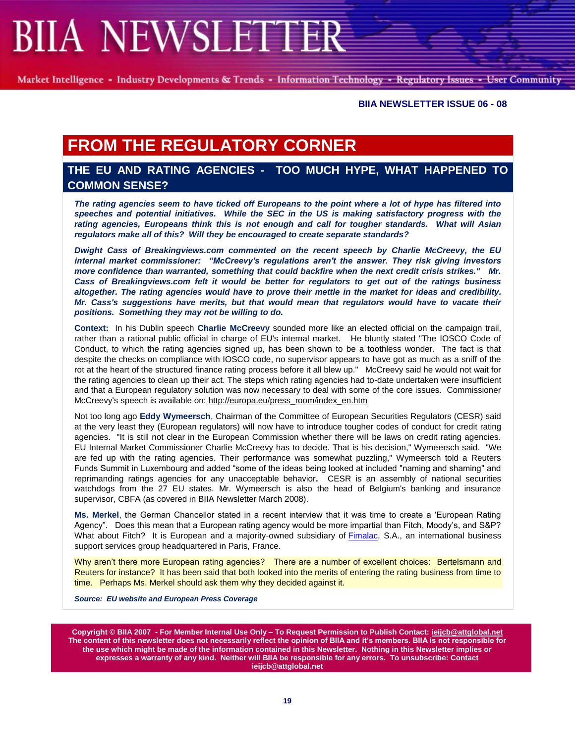Market Intelligence - Industry Developments & Trends - Information Technology - Regulatory Issues - User Community

**BIIA NEWSLETTER ISSUE 06 - 08**

# **FROM THE REGULATORY CORNER**

## **THE EU AND RATING AGENCIES - TOO MUCH HYPE, WHAT HAPPENED TO COMMON SENSE?**

*The rating agencies seem to have ticked off Europeans to the point where a lot of hype has filtered into speeches and potential initiatives. While the SEC in the US is making satisfactory progress with the rating agencies, Europeans think this is not enough and call for tougher standards. What will Asian regulators make all of this? Will they be encouraged to create separate standards?*

*Dwight Cass of Breakingviews.com commented on the recent speech by Charlie McCreevy, the EU internal market commissioner: "McCreevy's regulations aren't the answer. They risk giving investors more confidence than warranted, something that could backfire when the next credit crisis strikes." Mr. Cass of Breakingviews.com felt it would be better for regulators to get out of the ratings business altogether. The rating agencies would have to prove their mettle in the market for ideas and credibility. Mr. Cass's suggestions have merits, but that would mean that regulators would have to vacate their positions. Something they may not be willing to do.* 

**Context:** In his Dublin speech **Charlie McCreevy** sounded more like an elected official on the campaign trail, rather than a rational public official in charge of EU's internal market. He bluntly stated "The IOSCO Code of Conduct, to which the rating agencies signed up, has been shown to be a toothless wonder. The fact is that despite the checks on compliance with IOSCO code, no supervisor appears to have got as much as a sniff of the rot at the heart of the structured finance rating process before it all blew up." McCreevy said he would not wait for the rating agencies to clean up their act. The steps which rating agencies had to-date undertaken were insufficient and that a European regulatory solution was now necessary to deal with some of the core issues. Commissioner McCreevy's speech is available on: [http://europa.eu/press\\_room/index\\_en.htm](http://europa.eu/press_room/index_en.htm)

Not too long ago **Eddy Wymeersch**, Chairman of the Committee of European Securities Regulators (CESR) said at the very least they (European regulators) will now have to introduce tougher codes of conduct for credit rating agencies. "It is still not clear in the European Commission whether there will be laws on credit rating agencies. EU Internal Market Commissioner Charlie McCreevy has to decide. That is his decision," Wymeersch said. "We are fed up with the rating agencies. Their performance was somewhat puzzling," Wymeersch told a Reuters Funds Summit in Luxembourg and added "some of the ideas being looked at included "naming and shaming" and reprimanding ratings agencies for any unacceptable behavior**.** CESR is an assembly of national securities watchdogs from the 27 EU states. Mr. Wymeersch is also the head of Belgium's banking and insurance supervisor, CBFA (as covered in BIIA Newsletter March 2008).

**Ms. Merkel**, the German Chancellor stated in a recent interview that it was time to create a "European Rating Agency". Does this mean that a European rating agency would be more impartial than Fitch, Moody"s, and S&P? What about Fitch? It is European and a majority-owned subsidiary of [Fimalac,](http://www.fimalac.com/) S.A., an international business support services group headquartered in Paris, France.

Why aren't there more European rating agencies? There are a number of excellent choices: Bertelsmann and Reuters for instance? It has been said that both looked into the merits of entering the rating business from time to time. Perhaps Ms. Merkel should ask them why they decided against it.

*Source: EU website and European Press Coverage*